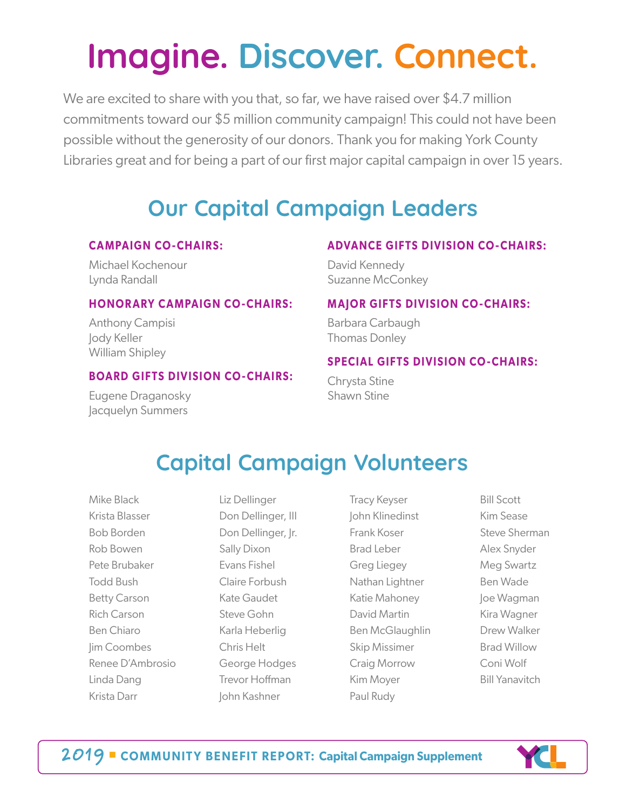# **Imagine. Discover. Connect.**

We are excited to share with you that, so far, we have raised over \$4.7 million commitments toward our \$5 million community campaign! This could not have been possible without the generosity of our donors. Thank you for making York County Libraries great and for being a part of our first major capital campaign in over 15 years.

# **Our Capital Campaign Leaders**

#### **CAMPAIGN CO-CHAIRS:**

Michael Kochenour Lynda Randall

#### **HONORARY CAMPAIGN CO-CHAIRS:**

Anthony Campisi Jody Keller William Shipley

#### **BOARD GIFTS DIVISION CO-CHAIRS:**

Eugene Draganosky Jacquelyn Summers

#### **ADVANCE GIFTS DIVISION CO-CHAIRS:**

David Kennedy Suzanne McConkey

#### **MAJOR GIFTS DIVISION CO-CHAIRS:**

Barbara Carbaugh Thomas Donley

#### **SPECIAL GIFTS DIVISION CO-CHAIRS:**

Chrysta Stine Shawn Stine

### **Capital Campaign Volunteers**

Mike Black Krista Blasser Bob Borden Rob Bowen Pete Brubaker Todd Bush Betty Carson Rich Carson Ben Chiaro Jim Coombes Renee D'Ambrosio Linda Dang Krista Darr

Liz Dellinger Don Dellinger, III Don Dellinger, Jr. Sally Dixon Evans Fishel Claire Forbush Kate Gaudet Steve Gohn Karla Heberlig Chris Helt George Hodges Trevor Hoffman John Kashner

Tracy Keyser John Klinedinst Frank Koser Brad Leber Greg Liegey Nathan Lightner Katie Mahoney David Martin Ben McGlaughlin Skip Missimer Craig Morrow Kim Moyer Paul Rudy

Bill Scott Kim Sease Steve Sherman Alex Snyder Meg Swartz Ben Wade Joe Wagman Kira Wagner Drew Walker Brad Willow Coni Wolf Bill Yanavitch



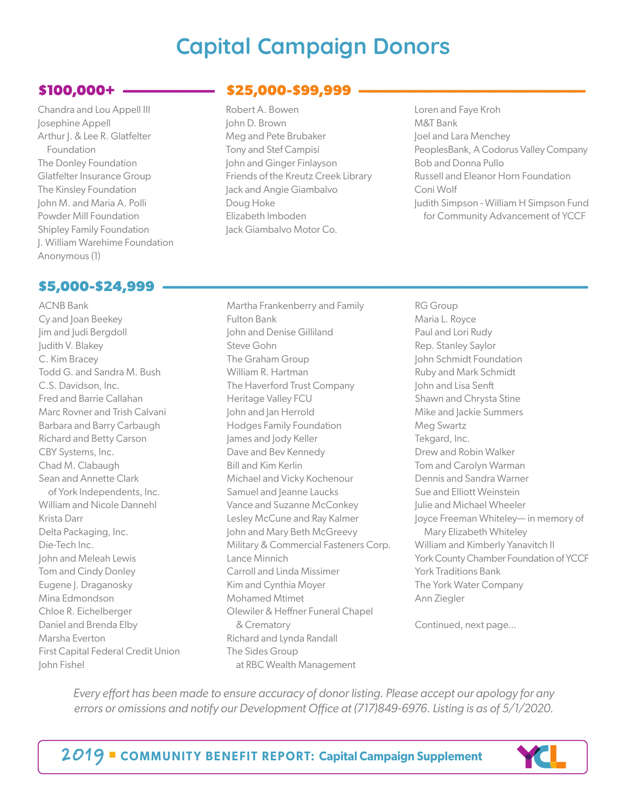### **Capital Campaign Donors**

### **\$100,000+ ----------------------------------**

Chandra and Lou Appell III Josephine Appell Arthur J. & Lee R. Glatfelter Foundation The Donley Foundation Glatfelter Insurance Group The Kinsley Foundation John M. and Maria A. Polli Powder Mill Foundation Shipley Family Foundation J. William Warehime Foundation Anonymous (1)

### \$5,000-\$24,999

ACNB Bank Cy and Joan Beekey Jim and Judi Bergdoll Judith V. Blakey C. Kim Bracey Todd G. and Sandra M. Bush C.S. Davidson, Inc. Fred and Barrie Callahan Marc Rovner and Trish Calvani Barbara and Barry Carbaugh Richard and Betty Carson CBY Systems, Inc. Chad M. Clabaugh Sean and Annette Clark of York Independents, Inc. William and Nicole Dannehl Krista Darr Delta Packaging, Inc. Die-Tech Inc. John and Meleah Lewis Tom and Cindy Donley Eugene J. Draganosky Mina Edmondson Chloe R. Eichelberger Daniel and Brenda Elby Marsha Everton First Capital Federal Credit Union John Fishel

### \$25,000-\$99,999

- Robert A. Bowen John D. Brown Meg and Pete Brubaker Tony and Stef Campisi John and Ginger Finlayson Friends of the Kreutz Creek Library Jack and Angie Giambalvo Doug Hoke Elizabeth Imboden Jack Giambalvo Motor Co.
- Loren and Faye Kroh M&T Bank Joel and Lara Menchey PeoplesBank, A Codorus Valley Company Bob and Donna Pullo Russell and Eleanor Horn Foundation Coni Wolf Judith Simpson - William H Simpson Fund for Community Advancement of YCCF

Martha Frankenberry and Family Fulton Bank John and Denise Gilliland Steve Gohn The Graham Group William R. Hartman The Haverford Trust Company Heritage Valley FCU John and Jan Herrold Hodges Family Foundation James and Jody Keller Dave and Bev Kennedy Bill and Kim Kerlin Michael and Vicky Kochenour Samuel and leanne Laucks Vance and Suzanne McConkey Lesley McCune and Ray Kalmer John and Mary Beth McGreevy Military & Commercial Fasteners Corp. Lance Minnich Carroll and Linda Missimer Kim and Cynthia Moyer Mohamed Mtimet Olewiler & Heffner Funeral Chapel & Crematory Richard and Lynda Randall The Sides Group at RBC Wealth Management

RG Group Maria L. Royce Paul and Lori Rudy Rep. Stanley Saylor John Schmidt Foundation Ruby and Mark Schmidt John and Lisa Senft Shawn and Chrysta Stine Mike and Jackie Summers Meg Swartz Tekgard, Inc. Drew and Robin Walker Tom and Carolyn Warman Dennis and Sandra Warner Sue and Elliott Weinstein Julie and Michael Wheeler Joyce Freeman Whiteley— in memory of Mary Elizabeth Whiteley William and Kimberly Yanavitch II York County Chamber Foundation of YCCF York Traditions Bank The York Water Company Ann Ziegler

Continued, next page...

*Every effort has been made to ensure accuracy of donor listing. Please accept our apology for any errors or omissions and notify our Development Office at (717)849-6976. Listing is as of 5/1/2020.*

2019 ■ **COMMUNIT Y BENEFIT REPORT: Capital Campaign Supplement**

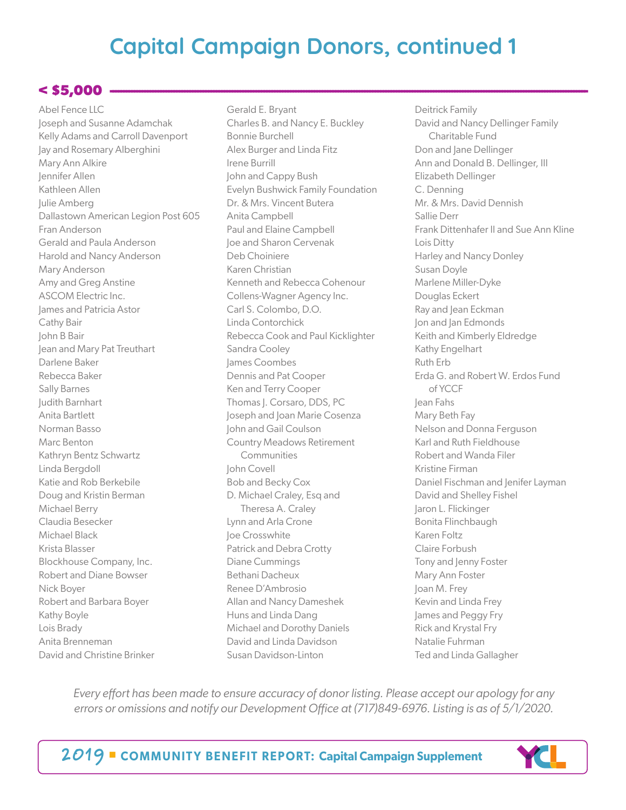#### $<$  \$5,000 -

Abel Fence LLC Joseph and Susanne Adamchak Kelly Adams and Carroll Davenport Jay and Rosemary Alberghini Mary Ann Alkire Jennifer Allen Kathleen Allen Julie Amberg Dallastown American Legion Post 605 Fran Anderson Gerald and Paula Anderson Harold and Nancy Anderson Mary Anderson Amy and Greg Anstine ASCOM Electric Inc. James and Patricia Astor Cathy Bair John B Bair Jean and Mary Pat Treuthart Darlene Baker Rebecca Baker Sally Barnes Judith Barnhart Anita Bartlett Norman Basso Marc Benton Kathryn Bentz Schwartz Linda Bergdoll Katie and Rob Berkebile Doug and Kristin Berman Michael Berry Claudia Besecker Michael Black Krista Blasser Blockhouse Company, Inc. Robert and Diane Bowser Nick Boyer Robert and Barbara Boyer Kathy Boyle Lois Brady Anita Brenneman David and Christine Brinker

Gerald E. Bryant Charles B. and Nancy E. Buckley Bonnie Burchell Alex Burger and Linda Fitz Irene Burrill John and Cappy Bush Evelyn Bushwick Family Foundation Dr. & Mrs. Vincent Butera Anita Campbell Paul and Elaine Campbell Joe and Sharon Cervenak Deb Choiniere Karen Christian Kenneth and Rebecca Cohenour Collens-Wagner Agency Inc. Carl S. Colombo, D.O. Linda Contorchick Rebecca Cook and Paul Kicklighter Sandra Cooley James Coombes Dennis and Pat Cooper Ken and Terry Cooper Thomas |. Corsaro, DDS, PC Joseph and Joan Marie Cosenza John and Gail Coulson Country Meadows Retirement **Communities** John Covell Bob and Becky Cox D. Michael Craley, Esq and Theresa A. Craley Lynn and Arla Crone Joe Crosswhite Patrick and Debra Crotty Diane Cummings Bethani Dacheux Renee D'Ambrosio Allan and Nancy Dameshek Huns and Linda Dang Michael and Dorothy Daniels David and Linda Davidson Susan Davidson-Linton

Deitrick Family David and Nancy Dellinger Family Charitable Fund Don and Jane Dellinger Ann and Donald B. Dellinger, III Elizabeth Dellinger C. Denning Mr. & Mrs. David Dennish Sallie Derr Frank Dittenhafer II and Sue Ann Kline Lois Ditty Harley and Nancy Donley Susan Doyle Marlene Miller-Dyke Douglas Eckert Ray and Jean Eckman Jon and Jan Edmonds Keith and Kimberly Eldredge Kathy Engelhart Ruth Erb Erda G. and Robert W. Erdos Fund of YCCF Jean Fahs Mary Beth Fay Nelson and Donna Ferguson Karl and Ruth Fieldhouse Robert and Wanda Filer Kristine Firman Daniel Fischman and Jenifer Layman David and Shelley Fishel Jaron L. Flickinger Bonita Flinchbaugh Karen Foltz Claire Forbush Tony and Jenny Foster Mary Ann Foster Joan M. Frey Kevin and Linda Frey James and Peggy Fry Rick and Krystal Fry Natalie Fuhrman Ted and Linda Gallagher

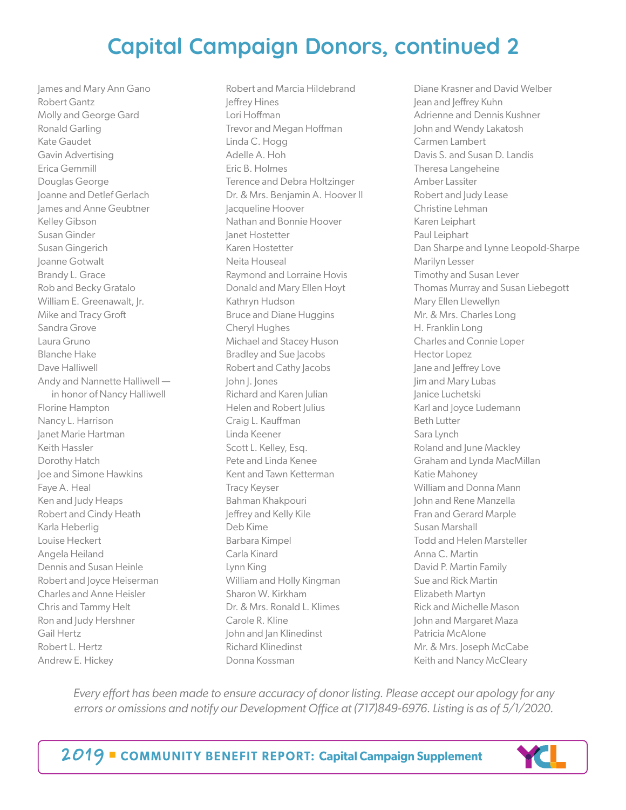James and Mary Ann Gano Robert Gantz Molly and George Gard Ronald Garling Kate Gaudet Gavin Advertising Erica Gemmill Douglas George Joanne and Detlef Gerlach James and Anne Geubtner Kelley Gibson Susan Ginder Susan Gingerich Joanne Gotwalt Brandy L. Grace Rob and Becky Gratalo William E. Greenawalt, Jr. Mike and Tracy Groft Sandra Grove Laura Gruno Blanche Hake Dave Halliwell Andy and Nannette Halliwell in honor of Nancy Halliwell Florine Hampton Nancy L. Harrison Janet Marie Hartman Keith Hassler Dorothy Hatch Joe and Simone Hawkins Faye A. Heal Ken and Judy Heaps Robert and Cindy Heath Karla Heberlig Louise Heckert Angela Heiland Dennis and Susan Heinle Robert and Joyce Heiserman Charles and Anne Heisler Chris and Tammy Helt Ron and Judy Hershner Gail Hertz Robert L. Hertz Andrew E. Hickey

Robert and Marcia Hildebrand Jeffrey Hines Lori Hoffman Trevor and Megan Hoffman Linda C. Hogg Adelle A. Hoh Eric B. Holmes Terence and Debra Holtzinger Dr. & Mrs. Benjamin A. Hoover II Jacqueline Hoover Nathan and Bonnie Hoover Janet Hostetter Karen Hostetter Neita Houseal Raymond and Lorraine Hovis Donald and Mary Ellen Hoyt Kathryn Hudson Bruce and Diane Huggins Cheryl Hughes Michael and Stacey Huson Bradley and Sue Jacobs Robert and Cathy Jacobs John J. Jones Richard and Karen Julian Helen and Robert Julius Craig L. Kauffman Linda Keener Scott L. Kelley, Esq. Pete and Linda Kenee Kent and Tawn Ketterman Tracy Keyser Bahman Khakpouri Jeffrey and Kelly Kile Deb Kime Barbara Kimpel Carla Kinard Lynn King William and Holly Kingman Sharon W. Kirkham Dr. & Mrs. Ronald L. Klimes Carole R. Kline John and Jan Klinedinst Richard Klinedinst Donna Kossman

Diane Krasner and David Welber Jean and Jeffrey Kuhn Adrienne and Dennis Kushner John and Wendy Lakatosh Carmen Lambert Davis S. and Susan D. Landis Theresa Langeheine Amber Lassiter Robert and Judy Lease Christine Lehman Karen Leiphart Paul Leiphart Dan Sharpe and Lynne Leopold-Sharpe Marilyn Lesser Timothy and Susan Lever Thomas Murray and Susan Liebegott Mary Ellen Llewellyn Mr. & Mrs. Charles Long H. Franklin Long Charles and Connie Loper Hector Lopez Jane and Jeffrey Love Jim and Mary Lubas Janice Luchetski Karl and Joyce Ludemann Beth Lutter Sara Lynch Roland and June Mackley Graham and Lynda MacMillan Katie Mahoney William and Donna Mann John and Rene Manzella Fran and Gerard Marple Susan Marshall Todd and Helen Marsteller Anna C. Martin David P. Martin Family Sue and Rick Martin Elizabeth Martyn Rick and Michelle Mason John and Margaret Maza Patricia McAlone Mr. & Mrs. Joseph McCabe Keith and Nancy McCleary

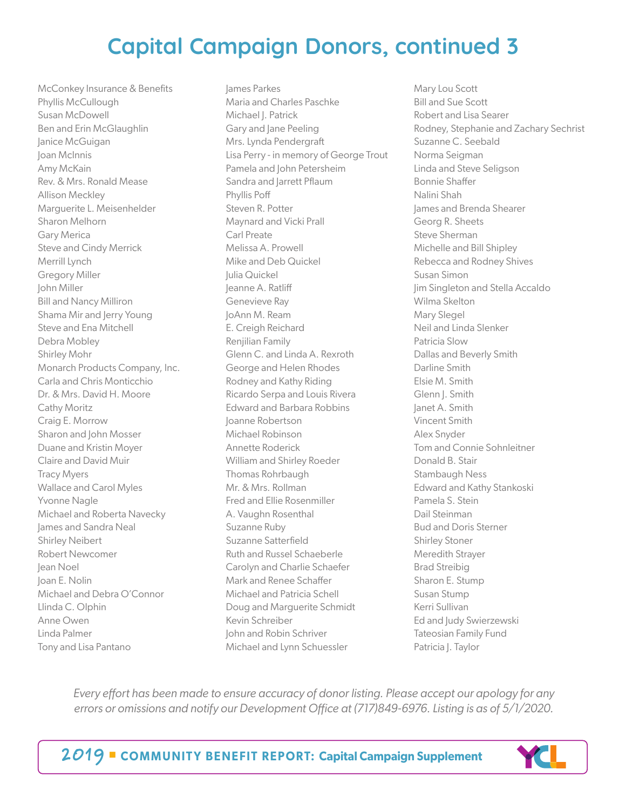McConkey Insurance & Benefits Phyllis McCullough Susan McDowell Ben and Erin McGlaughlin Janice McGuigan Joan McInnis Amy McKain Rev. & Mrs. Ronald Mease Allison Meckley Marguerite L. Meisenhelder Sharon Melhorn Gary Merica Steve and Cindy Merrick Merrill Lynch Gregory Miller John Miller Bill and Nancy Milliron Shama Mir and Jerry Young Steve and Ena Mitchell Debra Mobley Shirley Mohr Monarch Products Company, Inc. Carla and Chris Monticchio Dr. & Mrs. David H. Moore Cathy Moritz Craig E. Morrow Sharon and John Mosser Duane and Kristin Moyer Claire and David Muir Tracy Myers Wallace and Carol Myles Yvonne Nagle Michael and Roberta Navecky James and Sandra Neal Shirley Neibert Robert Newcomer Jean Noel Joan E. Nolin Michael and Debra O'Connor Llinda C. Olphin Anne Owen Linda Palmer Tony and Lisa Pantano

James Parkes Maria and Charles Paschke Michael J. Patrick Gary and Jane Peeling Mrs. Lynda Pendergraft Lisa Perry - in memory of George Trout Pamela and John Petersheim Sandra and Jarrett Pflaum Phyllis Poff Steven R. Potter Maynard and Vicki Prall Carl Preate Melissa A. Prowell Mike and Deb Quickel Julia Quickel Jeanne A. Ratliff Genevieve Ray JoAnn M. Ream E. Creigh Reichard Renjilian Family Glenn C. and Linda A. Rexroth George and Helen Rhodes Rodney and Kathy Riding Ricardo Serpa and Louis Rivera Edward and Barbara Robbins Joanne Robertson Michael Robinson Annette Roderick William and Shirley Roeder Thomas Rohrbaugh Mr. & Mrs. Rollman Fred and Ellie Rosenmiller A. Vaughn Rosenthal Suzanne Ruby Suzanne Satterfield Ruth and Russel Schaeberle Carolyn and Charlie Schaefer Mark and Renee Schaffer Michael and Patricia Schell Doug and Marguerite Schmidt Kevin Schreiber John and Robin Schriver Michael and Lynn Schuessler

Mary Lou Scott Bill and Sue Scott Robert and Lisa Searer Rodney, Stephanie and Zachary Sechrist Suzanne C. Seebald Norma Seigman Linda and Steve Seligson Bonnie Shaffer Nalini Shah James and Brenda Shearer Georg R. Sheets Steve Sherman Michelle and Bill Shipley Rebecca and Rodney Shives Susan Simon Jim Singleton and Stella Accaldo Wilma Skelton Mary Slegel Neil and Linda Slenker Patricia Slow Dallas and Beverly Smith Darline Smith Elsie M. Smith Glenn J. Smith Janet A. Smith Vincent Smith Alex Snyder Tom and Connie Sohnleitner Donald B. Stair Stambaugh Ness Edward and Kathy Stankoski Pamela S. Stein Dail Steinman Bud and Doris Sterner Shirley Stoner Meredith Strayer Brad Streibig Sharon E. Stump Susan Stump Kerri Sullivan Ed and Judy Swierzewski Tateosian Family Fund Patricia J. Taylor